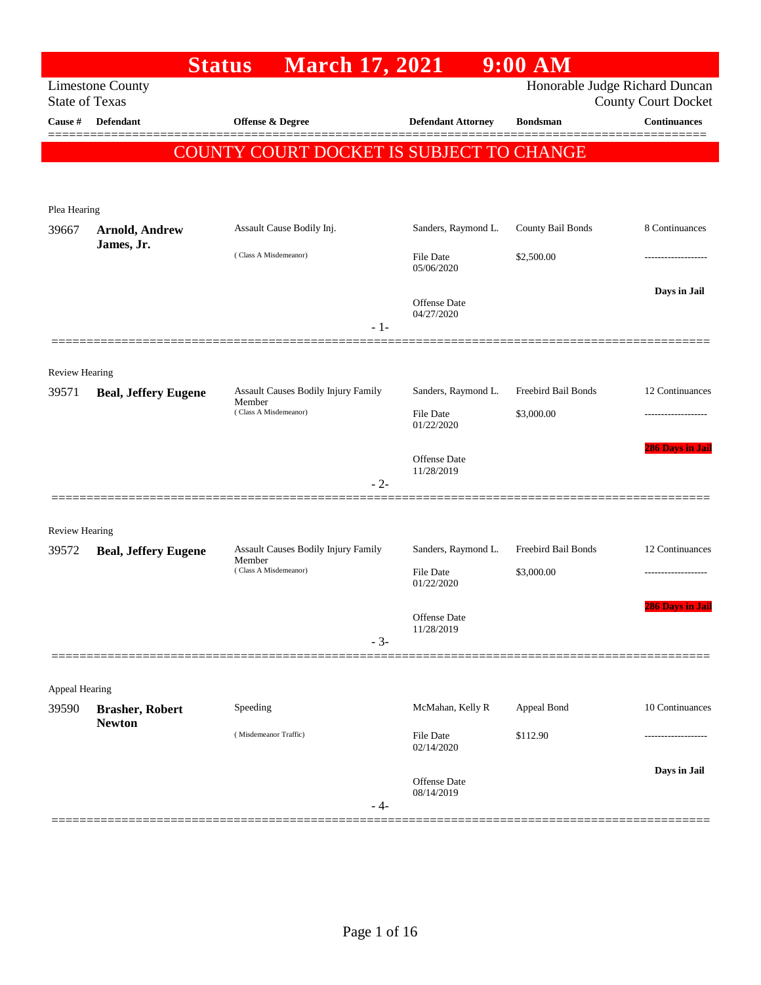|                       | <b>Status</b>               | <b>March 17, 2021</b>                         |                                | $9:00$ AM           |                                                   |
|-----------------------|-----------------------------|-----------------------------------------------|--------------------------------|---------------------|---------------------------------------------------|
| <b>State of Texas</b> | <b>Limestone County</b>     |                                               |                                |                     | Honorable Judge Richard Duncan                    |
| Cause #               | <b>Defendant</b>            | Offense & Degree                              | <b>Defendant Attorney</b>      | <b>Bondsman</b>     | <b>County Court Docket</b><br><b>Continuances</b> |
|                       |                             |                                               |                                |                     |                                                   |
|                       |                             | COUNTY COURT DOCKET IS SUBJECT TO CHANGE      |                                |                     |                                                   |
|                       |                             |                                               |                                |                     |                                                   |
| Plea Hearing          |                             |                                               |                                |                     |                                                   |
| 39667                 | <b>Arnold, Andrew</b>       | Assault Cause Bodily Inj.                     | Sanders, Raymond L.            | County Bail Bonds   | 8 Continuances                                    |
|                       | James, Jr.                  | (Class A Misdemeanor)                         | <b>File Date</b>               | \$2,500.00          |                                                   |
|                       |                             |                                               | 05/06/2020                     |                     |                                                   |
|                       |                             |                                               | Offense Date                   |                     | Days in Jail                                      |
|                       |                             | - 1-                                          | 04/27/2020                     |                     |                                                   |
|                       |                             |                                               |                                |                     |                                                   |
| <b>Review Hearing</b> |                             |                                               |                                |                     |                                                   |
| 39571                 | <b>Beal, Jeffery Eugene</b> | Assault Causes Bodily Injury Family           | Sanders, Raymond L.            | Freebird Bail Bonds | 12 Continuances                                   |
|                       |                             | Member<br>(Class A Misdemeanor)               | <b>File Date</b>               | \$3,000.00          |                                                   |
|                       |                             |                                               | 01/22/2020                     |                     |                                                   |
|                       |                             |                                               | <b>Offense Date</b>            |                     | <b>286 Days in Jail</b>                           |
|                       |                             | $-2-$                                         | 11/28/2019                     |                     |                                                   |
|                       |                             |                                               |                                |                     |                                                   |
| <b>Review Hearing</b> |                             |                                               |                                |                     |                                                   |
| 39572                 | <b>Beal, Jeffery Eugene</b> | Assault Causes Bodily Injury Family<br>Member | Sanders, Raymond L.            | Freebird Bail Bonds | 12 Continuances                                   |
|                       |                             | (Class A Misdemeanor)                         | <b>File Date</b><br>01/22/2020 | \$3,000.00          |                                                   |
|                       |                             |                                               |                                |                     | 286 Days in Jail                                  |
|                       |                             |                                               | Offense Date<br>11/28/2019     |                     |                                                   |
|                       |                             | $-3-$                                         |                                |                     |                                                   |
|                       |                             |                                               |                                |                     |                                                   |
| Appeal Hearing        |                             |                                               |                                |                     |                                                   |
| 39590                 | <b>Brasher, Robert</b>      | Speeding                                      | McMahan, Kelly R               | Appeal Bond         | 10 Continuances                                   |
|                       | <b>Newton</b>               | (Misdemeanor Traffic)                         | <b>File Date</b>               | \$112.90            |                                                   |
|                       |                             |                                               | 02/14/2020                     |                     |                                                   |
|                       |                             |                                               | Offense Date                   |                     | Days in Jail                                      |
|                       |                             | $-4-$                                         | 08/14/2019                     |                     |                                                   |
|                       |                             |                                               |                                |                     |                                                   |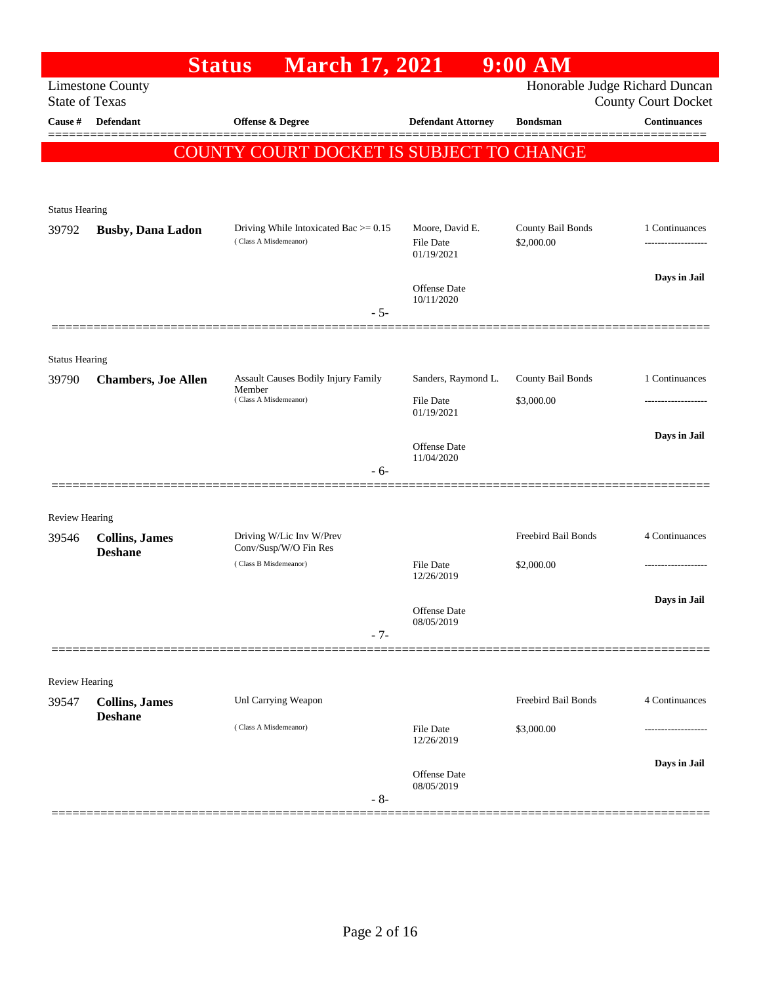|                                | <b>Status</b>                           | <b>March 17, 2021</b>                          |                                | $9:00$ AM           |                                                              |
|--------------------------------|-----------------------------------------|------------------------------------------------|--------------------------------|---------------------|--------------------------------------------------------------|
| <b>State of Texas</b>          | <b>Limestone County</b>                 |                                                |                                |                     | Honorable Judge Richard Duncan<br><b>County Court Docket</b> |
| Cause #                        | <b>Defendant</b>                        | <b>Offense &amp; Degree</b>                    | <b>Defendant Attorney</b>      | <b>Bondsman</b>     | <b>Continuances</b>                                          |
|                                |                                         | COUNTY COURT DOCKET IS SUBJECT TO CHANGE       |                                |                     |                                                              |
|                                |                                         |                                                |                                |                     |                                                              |
|                                |                                         |                                                |                                |                     |                                                              |
| <b>Status Hearing</b><br>39792 | <b>Busby, Dana Ladon</b>                | Driving While Intoxicated Bac $> = 0.15$       | Moore, David E.                | County Bail Bonds   | 1 Continuances                                               |
|                                |                                         | (Class A Misdemeanor)                          | <b>File Date</b><br>01/19/2021 | \$2,000.00          |                                                              |
|                                |                                         |                                                | Offense Date                   |                     | Days in Jail                                                 |
|                                |                                         | $-5-$                                          | 10/11/2020                     |                     |                                                              |
|                                |                                         |                                                |                                |                     |                                                              |
| <b>Status Hearing</b>          |                                         |                                                |                                |                     |                                                              |
| 39790                          | <b>Chambers, Joe Allen</b>              | Assault Causes Bodily Injury Family<br>Member  | Sanders, Raymond L.            | County Bail Bonds   | 1 Continuances                                               |
|                                |                                         | (Class A Misdemeanor)                          | <b>File Date</b><br>01/19/2021 | \$3,000.00          |                                                              |
|                                |                                         |                                                |                                |                     | Days in Jail                                                 |
|                                |                                         |                                                | Offense Date<br>11/04/2020     |                     |                                                              |
|                                |                                         | $-6-$                                          |                                |                     |                                                              |
| <b>Review Hearing</b>          |                                         |                                                |                                |                     |                                                              |
| 39546                          | <b>Collins, James</b>                   | Driving W/Lic Inv W/Prev                       |                                | Freebird Bail Bonds | 4 Continuances                                               |
|                                | <b>Deshane</b>                          | Conv/Susp/W/O Fin Res<br>(Class B Misdemeanor) | <b>File Date</b>               | \$2,000.00          |                                                              |
|                                |                                         |                                                | 12/26/2019                     |                     |                                                              |
|                                |                                         |                                                | Offense Date                   |                     | Days in Jail                                                 |
|                                |                                         | $-7-$                                          | 08/05/2019                     |                     |                                                              |
|                                |                                         |                                                |                                |                     |                                                              |
| Review Hearing                 |                                         |                                                |                                |                     |                                                              |
| 39547                          | <b>Collins, James</b><br><b>Deshane</b> | Unl Carrying Weapon                            |                                | Freebird Bail Bonds | 4 Continuances                                               |
|                                |                                         | (Class A Misdemeanor)                          | File Date<br>12/26/2019        | \$3,000.00          | ---------------                                              |
|                                |                                         |                                                |                                |                     | Days in Jail                                                 |
|                                |                                         |                                                | Offense Date<br>08/05/2019     |                     |                                                              |
|                                |                                         | $-8-$                                          |                                |                     |                                                              |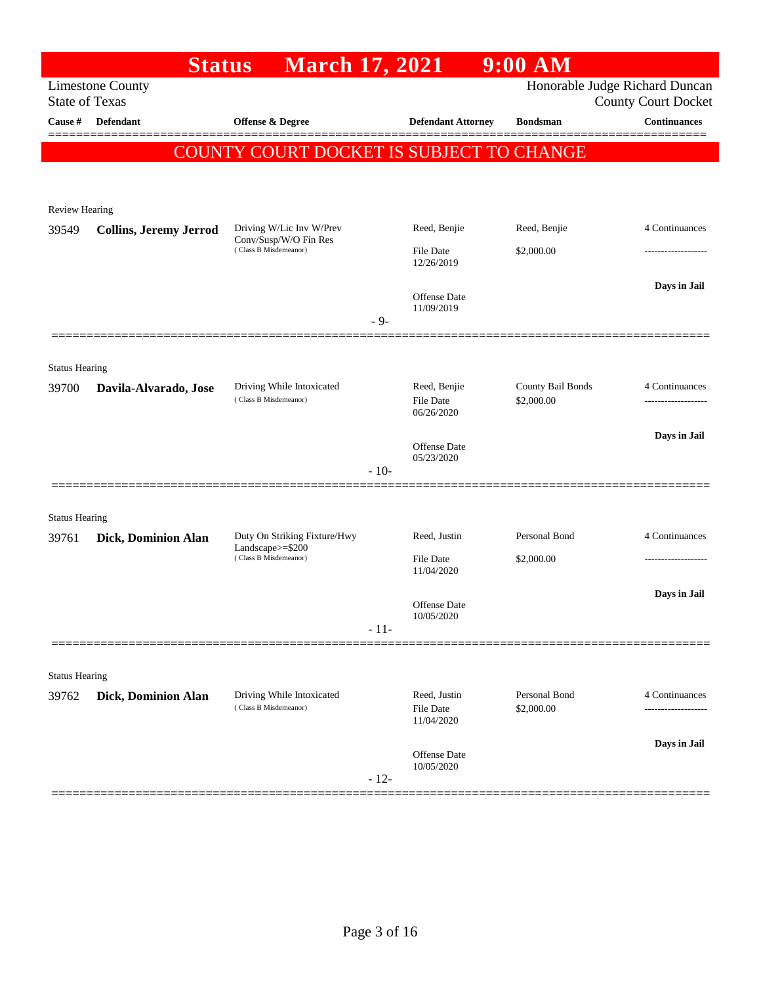| Honorable Judge Richard Duncan<br><b>Limestone County</b><br><b>State of Texas</b><br><b>County Court Docket</b><br><b>Continuances</b><br><b>Defendant</b><br>Offense & Degree<br><b>Defendant Attorney</b><br>Cause #<br><b>Bondsman</b><br>COUNTY COURT DOCKET IS SUBJECT TO CHANGE<br><b>Review Hearing</b><br>4 Continuances<br>Driving W/Lic Inv W/Prev<br>Reed, Benjie<br>Reed, Benjie<br>39549<br><b>Collins, Jeremy Jerrod</b><br>Conv/Susp/W/O Fin Res<br>(Class B Misdemeanor)<br><b>File Date</b><br>\$2,000.00<br>12/26/2019<br>Days in Jail<br>Offense Date<br>11/09/2019<br>$-9-$<br><b>Status Hearing</b><br>County Bail Bonds<br>Reed, Benjie<br>4 Continuances<br>Driving While Intoxicated<br>39700<br>Davila-Alvarado, Jose<br>(Class B Misdemeanor)<br>\$2,000.00<br>File Date<br>06/26/2020<br>Days in Jail<br>Offense Date<br>05/23/2020<br>$-10-$<br><b>Status Hearing</b><br>Personal Bond<br>4 Continuances<br>Duty On Striking Fixture/Hwy<br>Reed, Justin<br>39761<br>Dick, Dominion Alan<br>Landscape>=\$200<br>(Class B Misdemeanor)<br><b>File Date</b><br>\$2,000.00<br>11/04/2020<br>Days in Jail<br><b>Offense</b> Date<br>10/05/2020<br>$-11-$<br><b>Status Hearing</b><br>Personal Bond<br>Driving While Intoxicated<br>Reed, Justin<br>4 Continuances<br>Dick, Dominion Alan<br>39762<br>(Class B Misdemeanor)<br>File Date<br>\$2,000.00<br>11/04/2020<br>Days in Jail<br>Offense Date<br>10/05/2020<br>$-12-$ | <b>Status</b> | <b>March 17, 2021</b> |  | $9:00$ AM |  |
|------------------------------------------------------------------------------------------------------------------------------------------------------------------------------------------------------------------------------------------------------------------------------------------------------------------------------------------------------------------------------------------------------------------------------------------------------------------------------------------------------------------------------------------------------------------------------------------------------------------------------------------------------------------------------------------------------------------------------------------------------------------------------------------------------------------------------------------------------------------------------------------------------------------------------------------------------------------------------------------------------------------------------------------------------------------------------------------------------------------------------------------------------------------------------------------------------------------------------------------------------------------------------------------------------------------------------------------------------------------------------------------------------------------------------------------------------|---------------|-----------------------|--|-----------|--|
|                                                                                                                                                                                                                                                                                                                                                                                                                                                                                                                                                                                                                                                                                                                                                                                                                                                                                                                                                                                                                                                                                                                                                                                                                                                                                                                                                                                                                                                      |               |                       |  |           |  |
|                                                                                                                                                                                                                                                                                                                                                                                                                                                                                                                                                                                                                                                                                                                                                                                                                                                                                                                                                                                                                                                                                                                                                                                                                                                                                                                                                                                                                                                      |               |                       |  |           |  |
|                                                                                                                                                                                                                                                                                                                                                                                                                                                                                                                                                                                                                                                                                                                                                                                                                                                                                                                                                                                                                                                                                                                                                                                                                                                                                                                                                                                                                                                      |               |                       |  |           |  |
|                                                                                                                                                                                                                                                                                                                                                                                                                                                                                                                                                                                                                                                                                                                                                                                                                                                                                                                                                                                                                                                                                                                                                                                                                                                                                                                                                                                                                                                      |               |                       |  |           |  |
|                                                                                                                                                                                                                                                                                                                                                                                                                                                                                                                                                                                                                                                                                                                                                                                                                                                                                                                                                                                                                                                                                                                                                                                                                                                                                                                                                                                                                                                      |               |                       |  |           |  |
|                                                                                                                                                                                                                                                                                                                                                                                                                                                                                                                                                                                                                                                                                                                                                                                                                                                                                                                                                                                                                                                                                                                                                                                                                                                                                                                                                                                                                                                      |               |                       |  |           |  |
|                                                                                                                                                                                                                                                                                                                                                                                                                                                                                                                                                                                                                                                                                                                                                                                                                                                                                                                                                                                                                                                                                                                                                                                                                                                                                                                                                                                                                                                      |               |                       |  |           |  |
|                                                                                                                                                                                                                                                                                                                                                                                                                                                                                                                                                                                                                                                                                                                                                                                                                                                                                                                                                                                                                                                                                                                                                                                                                                                                                                                                                                                                                                                      |               |                       |  |           |  |
|                                                                                                                                                                                                                                                                                                                                                                                                                                                                                                                                                                                                                                                                                                                                                                                                                                                                                                                                                                                                                                                                                                                                                                                                                                                                                                                                                                                                                                                      |               |                       |  |           |  |
|                                                                                                                                                                                                                                                                                                                                                                                                                                                                                                                                                                                                                                                                                                                                                                                                                                                                                                                                                                                                                                                                                                                                                                                                                                                                                                                                                                                                                                                      |               |                       |  |           |  |
|                                                                                                                                                                                                                                                                                                                                                                                                                                                                                                                                                                                                                                                                                                                                                                                                                                                                                                                                                                                                                                                                                                                                                                                                                                                                                                                                                                                                                                                      |               |                       |  |           |  |
|                                                                                                                                                                                                                                                                                                                                                                                                                                                                                                                                                                                                                                                                                                                                                                                                                                                                                                                                                                                                                                                                                                                                                                                                                                                                                                                                                                                                                                                      |               |                       |  |           |  |
|                                                                                                                                                                                                                                                                                                                                                                                                                                                                                                                                                                                                                                                                                                                                                                                                                                                                                                                                                                                                                                                                                                                                                                                                                                                                                                                                                                                                                                                      |               |                       |  |           |  |
|                                                                                                                                                                                                                                                                                                                                                                                                                                                                                                                                                                                                                                                                                                                                                                                                                                                                                                                                                                                                                                                                                                                                                                                                                                                                                                                                                                                                                                                      |               |                       |  |           |  |
|                                                                                                                                                                                                                                                                                                                                                                                                                                                                                                                                                                                                                                                                                                                                                                                                                                                                                                                                                                                                                                                                                                                                                                                                                                                                                                                                                                                                                                                      |               |                       |  |           |  |
|                                                                                                                                                                                                                                                                                                                                                                                                                                                                                                                                                                                                                                                                                                                                                                                                                                                                                                                                                                                                                                                                                                                                                                                                                                                                                                                                                                                                                                                      |               |                       |  |           |  |
|                                                                                                                                                                                                                                                                                                                                                                                                                                                                                                                                                                                                                                                                                                                                                                                                                                                                                                                                                                                                                                                                                                                                                                                                                                                                                                                                                                                                                                                      |               |                       |  |           |  |
|                                                                                                                                                                                                                                                                                                                                                                                                                                                                                                                                                                                                                                                                                                                                                                                                                                                                                                                                                                                                                                                                                                                                                                                                                                                                                                                                                                                                                                                      |               |                       |  |           |  |
|                                                                                                                                                                                                                                                                                                                                                                                                                                                                                                                                                                                                                                                                                                                                                                                                                                                                                                                                                                                                                                                                                                                                                                                                                                                                                                                                                                                                                                                      |               |                       |  |           |  |
|                                                                                                                                                                                                                                                                                                                                                                                                                                                                                                                                                                                                                                                                                                                                                                                                                                                                                                                                                                                                                                                                                                                                                                                                                                                                                                                                                                                                                                                      |               |                       |  |           |  |
|                                                                                                                                                                                                                                                                                                                                                                                                                                                                                                                                                                                                                                                                                                                                                                                                                                                                                                                                                                                                                                                                                                                                                                                                                                                                                                                                                                                                                                                      |               |                       |  |           |  |
|                                                                                                                                                                                                                                                                                                                                                                                                                                                                                                                                                                                                                                                                                                                                                                                                                                                                                                                                                                                                                                                                                                                                                                                                                                                                                                                                                                                                                                                      |               |                       |  |           |  |
|                                                                                                                                                                                                                                                                                                                                                                                                                                                                                                                                                                                                                                                                                                                                                                                                                                                                                                                                                                                                                                                                                                                                                                                                                                                                                                                                                                                                                                                      |               |                       |  |           |  |
|                                                                                                                                                                                                                                                                                                                                                                                                                                                                                                                                                                                                                                                                                                                                                                                                                                                                                                                                                                                                                                                                                                                                                                                                                                                                                                                                                                                                                                                      |               |                       |  |           |  |
|                                                                                                                                                                                                                                                                                                                                                                                                                                                                                                                                                                                                                                                                                                                                                                                                                                                                                                                                                                                                                                                                                                                                                                                                                                                                                                                                                                                                                                                      |               |                       |  |           |  |
|                                                                                                                                                                                                                                                                                                                                                                                                                                                                                                                                                                                                                                                                                                                                                                                                                                                                                                                                                                                                                                                                                                                                                                                                                                                                                                                                                                                                                                                      |               |                       |  |           |  |
|                                                                                                                                                                                                                                                                                                                                                                                                                                                                                                                                                                                                                                                                                                                                                                                                                                                                                                                                                                                                                                                                                                                                                                                                                                                                                                                                                                                                                                                      |               |                       |  |           |  |
|                                                                                                                                                                                                                                                                                                                                                                                                                                                                                                                                                                                                                                                                                                                                                                                                                                                                                                                                                                                                                                                                                                                                                                                                                                                                                                                                                                                                                                                      |               |                       |  |           |  |
|                                                                                                                                                                                                                                                                                                                                                                                                                                                                                                                                                                                                                                                                                                                                                                                                                                                                                                                                                                                                                                                                                                                                                                                                                                                                                                                                                                                                                                                      |               |                       |  |           |  |
|                                                                                                                                                                                                                                                                                                                                                                                                                                                                                                                                                                                                                                                                                                                                                                                                                                                                                                                                                                                                                                                                                                                                                                                                                                                                                                                                                                                                                                                      |               |                       |  |           |  |
|                                                                                                                                                                                                                                                                                                                                                                                                                                                                                                                                                                                                                                                                                                                                                                                                                                                                                                                                                                                                                                                                                                                                                                                                                                                                                                                                                                                                                                                      |               |                       |  |           |  |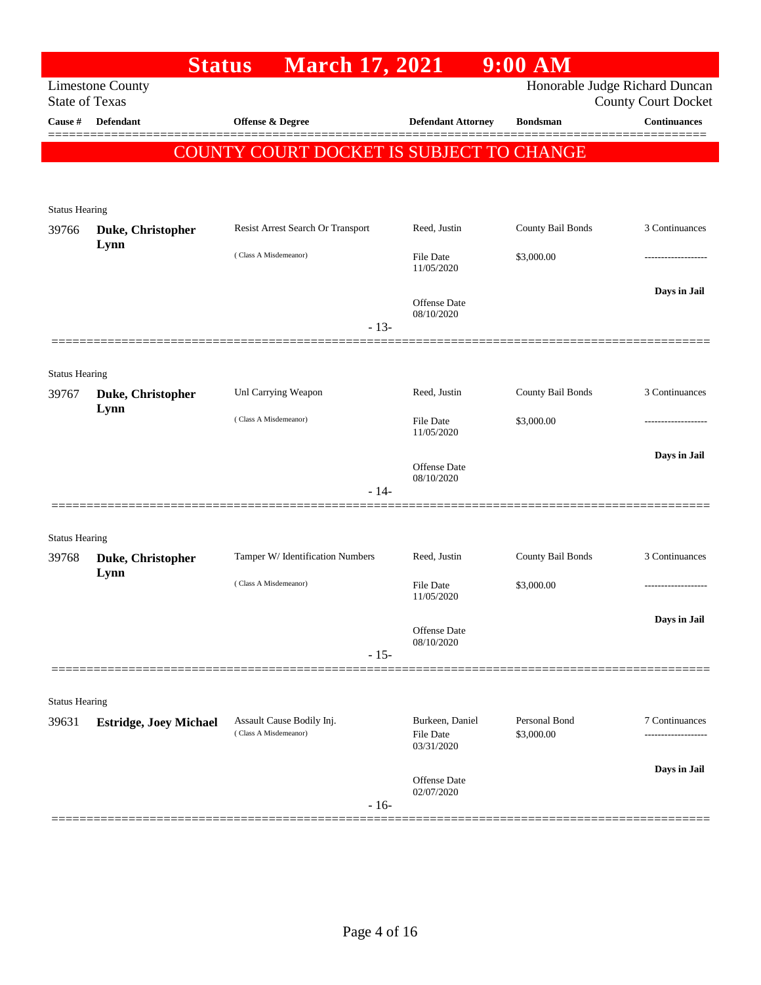|                                  | <b>Status</b>                 | <b>March 17, 2021</b>                              |                           | $9:00$ AM         |                                                   |
|----------------------------------|-------------------------------|----------------------------------------------------|---------------------------|-------------------|---------------------------------------------------|
|                                  | <b>Limestone County</b>       |                                                    |                           |                   | Honorable Judge Richard Duncan                    |
| <b>State of Texas</b><br>Cause # | Defendant                     | Offense & Degree                                   | <b>Defendant Attorney</b> | <b>Bondsman</b>   | <b>County Court Docket</b><br><b>Continuances</b> |
|                                  |                               |                                                    |                           |                   |                                                   |
|                                  |                               | COUNTY COURT DOCKET IS SUBJECT TO CHANGE           |                           |                   |                                                   |
|                                  |                               |                                                    |                           |                   |                                                   |
| <b>Status Hearing</b>            |                               |                                                    |                           |                   |                                                   |
| 39766                            | Duke, Christopher             | Resist Arrest Search Or Transport                  | Reed, Justin              | County Bail Bonds | 3 Continuances                                    |
|                                  | Lynn                          | (Class A Misdemeanor)                              | File Date                 | \$3,000.00        |                                                   |
|                                  |                               |                                                    | 11/05/2020                |                   |                                                   |
|                                  |                               |                                                    | Offense Date              |                   | Days in Jail                                      |
|                                  |                               | $-13-$                                             | 08/10/2020                |                   |                                                   |
|                                  |                               |                                                    |                           |                   |                                                   |
| <b>Status Hearing</b>            |                               |                                                    |                           |                   |                                                   |
| 39767                            | Duke, Christopher             | Unl Carrying Weapon                                | Reed, Justin              | County Bail Bonds | 3 Continuances                                    |
|                                  | Lynn                          | (Class A Misdemeanor)                              | File Date                 | \$3,000.00        |                                                   |
|                                  |                               |                                                    | 11/05/2020                |                   |                                                   |
|                                  |                               |                                                    | Offense Date              |                   | Days in Jail                                      |
|                                  |                               | $-14-$                                             | 08/10/2020                |                   |                                                   |
|                                  |                               |                                                    |                           |                   |                                                   |
| <b>Status Hearing</b>            |                               |                                                    |                           |                   |                                                   |
| 39768                            | Duke, Christopher             | Tamper W/ Identification Numbers                   | Reed, Justin              | County Bail Bonds | 3 Continuances                                    |
|                                  | Lynn                          | (Class A Misdemeanor)                              | File Date                 | \$3,000.00        |                                                   |
|                                  |                               |                                                    | 11/05/2020                |                   |                                                   |
|                                  |                               |                                                    | Offense Date              |                   | Days in Jail                                      |
|                                  |                               | $-15-$                                             | 08/10/2020                |                   |                                                   |
|                                  |                               |                                                    |                           |                   |                                                   |
| <b>Status Hearing</b>            |                               |                                                    |                           |                   |                                                   |
| 39631                            | <b>Estridge, Joey Michael</b> | Assault Cause Bodily Inj.<br>(Class A Misdemeanor) | Burkeen, Daniel           | Personal Bond     | 7 Continuances                                    |
|                                  |                               |                                                    | File Date<br>03/31/2020   | \$3,000.00        |                                                   |
|                                  |                               |                                                    | <b>Offense</b> Date       |                   | Days in Jail                                      |
|                                  |                               |                                                    | 02/07/2020                |                   |                                                   |
|                                  |                               | $-16-$                                             |                           |                   |                                                   |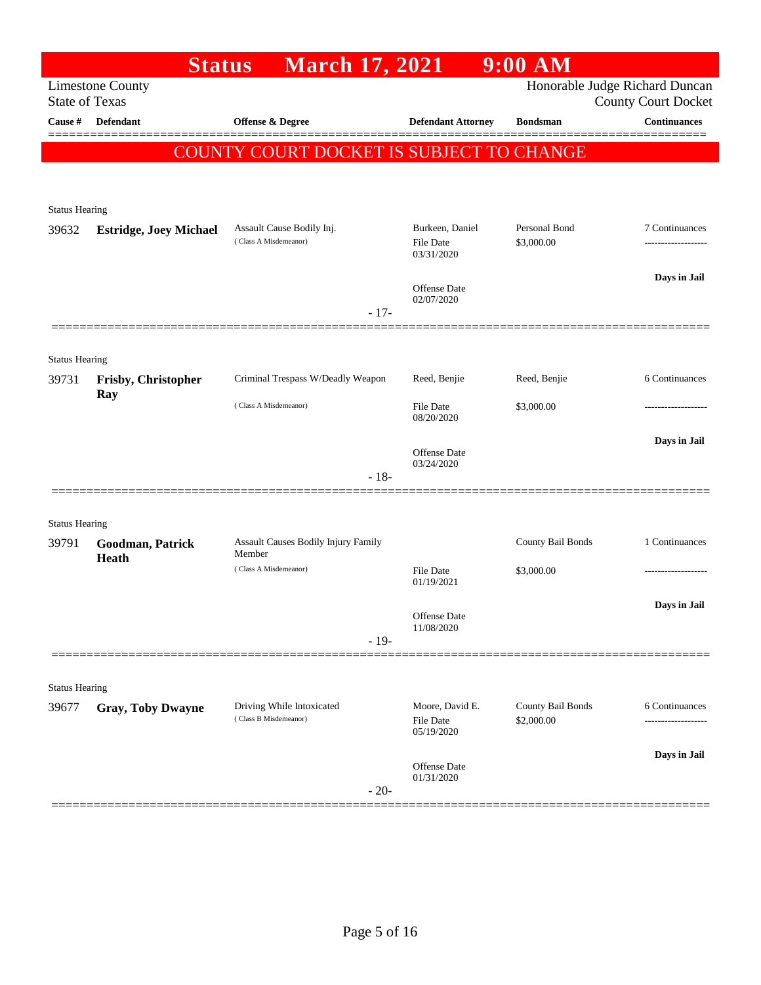|                                | <b>Status</b>                 | <b>March 17, 2021</b>                              |                                                   | $9:00$ AM                       |                                                              |
|--------------------------------|-------------------------------|----------------------------------------------------|---------------------------------------------------|---------------------------------|--------------------------------------------------------------|
| <b>State of Texas</b>          | <b>Limestone County</b>       |                                                    |                                                   |                                 | Honorable Judge Richard Duncan<br><b>County Court Docket</b> |
| Cause #                        | <b>Defendant</b>              | Offense & Degree                                   | <b>Defendant Attorney</b>                         | <b>Bondsman</b>                 | <b>Continuances</b>                                          |
|                                |                               | <b>COUNTY COURT DOCKET IS SUBJECT TO CHANGE</b>    |                                                   |                                 |                                                              |
|                                |                               |                                                    |                                                   |                                 |                                                              |
| <b>Status Hearing</b>          |                               |                                                    |                                                   |                                 |                                                              |
| 39632                          | <b>Estridge, Joey Michael</b> | Assault Cause Bodily Inj.                          | Burkeen, Daniel                                   | Personal Bond                   | 7 Continuances                                               |
|                                |                               | (Class A Misdemeanor)                              | <b>File Date</b><br>03/31/2020                    | \$3,000.00                      |                                                              |
|                                |                               |                                                    | <b>Offense Date</b><br>02/07/2020                 |                                 | Days in Jail                                                 |
|                                |                               | $-17-$                                             |                                                   |                                 |                                                              |
|                                |                               |                                                    |                                                   |                                 |                                                              |
| <b>Status Hearing</b><br>39731 | Frisby, Christopher           | Criminal Trespass W/Deadly Weapon                  | Reed, Benjie                                      | Reed, Benjie                    | 6 Continuances                                               |
|                                | Ray                           | (Class A Misdemeanor)                              | <b>File Date</b><br>08/20/2020                    | \$3,000.00                      | .                                                            |
|                                |                               |                                                    |                                                   |                                 | Days in Jail                                                 |
|                                |                               |                                                    | <b>Offense Date</b><br>03/24/2020                 |                                 |                                                              |
|                                |                               | $-18-$                                             |                                                   |                                 |                                                              |
| <b>Status Hearing</b>          |                               |                                                    |                                                   |                                 |                                                              |
| 39791                          | Goodman, Patrick<br>Heath     | Assault Causes Bodily Injury Family<br>Member      |                                                   | County Bail Bonds               | 1 Continuances                                               |
|                                |                               | (Class A Misdemeanor)                              | <b>File Date</b><br>01/19/2021                    | \$3,000.00                      | -----------------                                            |
|                                |                               |                                                    |                                                   |                                 | Days in Jail                                                 |
|                                |                               |                                                    | Offense Date<br>11/08/2020                        |                                 |                                                              |
|                                |                               | $-19-$                                             |                                                   |                                 |                                                              |
| <b>Status Hearing</b>          |                               |                                                    |                                                   |                                 |                                                              |
| 39677                          | <b>Gray, Toby Dwayne</b>      | Driving While Intoxicated<br>(Class B Misdemeanor) | Moore, David E.<br><b>File Date</b><br>05/19/2020 | County Bail Bonds<br>\$2,000.00 | 6 Continuances                                               |
|                                |                               |                                                    |                                                   |                                 | Days in Jail                                                 |
|                                |                               | $-20-$                                             | <b>Offense Date</b><br>01/31/2020                 |                                 |                                                              |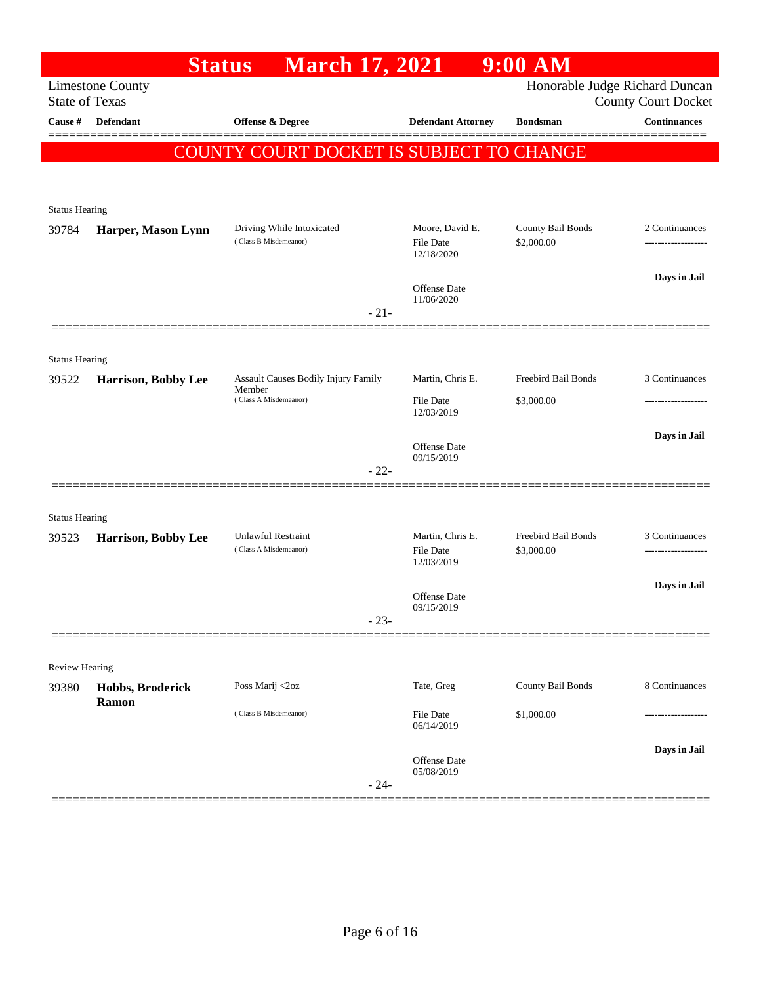|                                | <b>Status</b>             | <b>March 17, 2021</b>                              |                                     | $9:00$ AM                       |                                                              |
|--------------------------------|---------------------------|----------------------------------------------------|-------------------------------------|---------------------------------|--------------------------------------------------------------|
| <b>State of Texas</b>          | <b>Limestone County</b>   |                                                    |                                     |                                 | Honorable Judge Richard Duncan<br><b>County Court Docket</b> |
| Cause #                        | Defendant                 | Offense & Degree                                   | <b>Defendant Attorney</b>           | <b>Bondsman</b>                 | <b>Continuances</b>                                          |
|                                |                           | COUNTY COURT DOCKET IS SUBJECT TO CHANGE           |                                     |                                 |                                                              |
|                                |                           |                                                    |                                     |                                 |                                                              |
| <b>Status Hearing</b>          |                           |                                                    |                                     |                                 |                                                              |
| 39784                          | Harper, Mason Lynn        | Driving While Intoxicated<br>(Class B Misdemeanor) | Moore, David E.<br><b>File Date</b> | County Bail Bonds<br>\$2,000.00 | 2 Continuances                                               |
|                                |                           |                                                    | 12/18/2020                          |                                 |                                                              |
|                                |                           |                                                    | <b>Offense Date</b>                 |                                 | Days in Jail                                                 |
|                                |                           | $-21-$                                             | 11/06/2020                          |                                 |                                                              |
|                                |                           |                                                    |                                     |                                 |                                                              |
| <b>Status Hearing</b><br>39522 | Harrison, Bobby Lee       | Assault Causes Bodily Injury Family                | Martin, Chris E.                    | Freebird Bail Bonds             | 3 Continuances                                               |
|                                |                           | Member<br>(Class A Misdemeanor)                    | File Date                           | \$3,000.00                      | ------------------                                           |
|                                |                           |                                                    | 12/03/2019                          |                                 | Days in Jail                                                 |
|                                |                           |                                                    | <b>Offense Date</b><br>09/15/2019   |                                 |                                                              |
|                                |                           | $-22-$                                             |                                     |                                 |                                                              |
| <b>Status Hearing</b>          |                           |                                                    |                                     |                                 |                                                              |
| 39523                          | Harrison, Bobby Lee       | <b>Unlawful Restraint</b><br>(Class A Misdemeanor) | Martin, Chris E.                    | Freebird Bail Bonds             | 3 Continuances                                               |
|                                |                           |                                                    | File Date<br>12/03/2019             | \$3,000.00                      |                                                              |
|                                |                           |                                                    | Offense Date                        |                                 | Days in Jail                                                 |
|                                |                           | $-23-$                                             | 09/15/2019                          |                                 |                                                              |
|                                |                           |                                                    |                                     |                                 |                                                              |
| Review Hearing                 |                           | Poss Marij <2oz                                    | Tate, Greg                          | County Bail Bonds               | 8 Continuances                                               |
| 39380                          | Hobbs, Broderick<br>Ramon | (Class B Misdemeanor)                              |                                     |                                 |                                                              |
|                                |                           |                                                    | File Date<br>06/14/2019             | \$1,000.00                      |                                                              |
|                                |                           |                                                    | Offense Date                        |                                 | Days in Jail                                                 |
|                                |                           | $-24-$                                             | 05/08/2019                          |                                 |                                                              |
|                                |                           |                                                    |                                     |                                 |                                                              |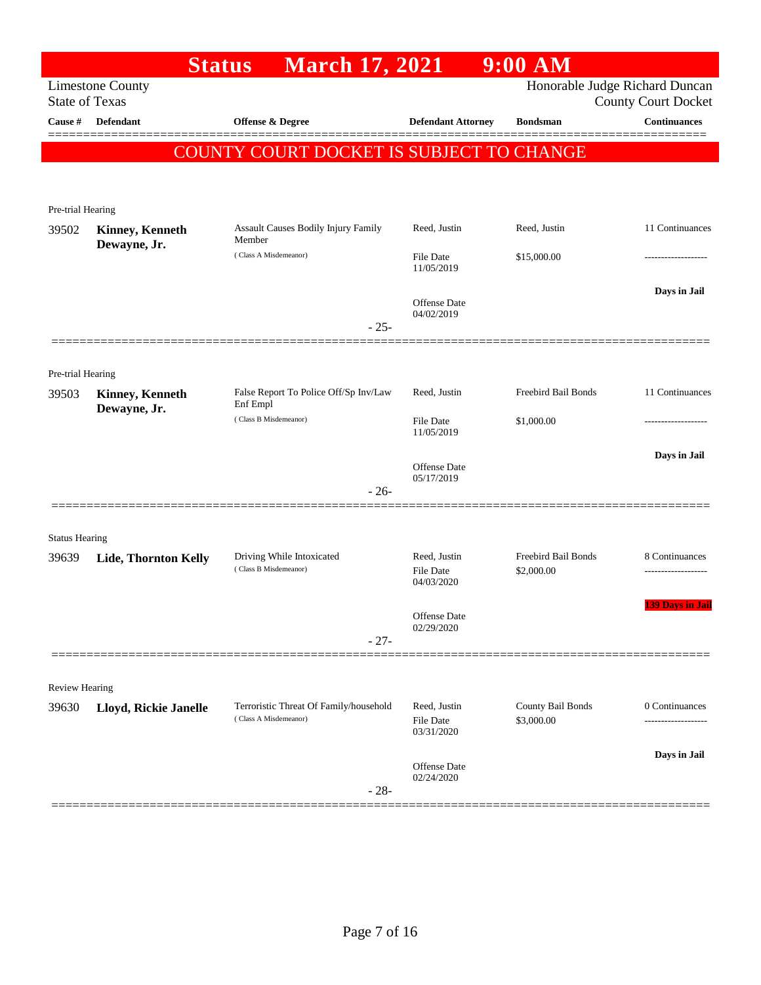|                       |                                        | <b>March 17, 2021</b><br><b>Status</b>        |                                   | 9:00 AM                    |                                |
|-----------------------|----------------------------------------|-----------------------------------------------|-----------------------------------|----------------------------|--------------------------------|
|                       | <b>Limestone County</b>                |                                               |                                   |                            | Honorable Judge Richard Duncan |
| <b>State of Texas</b> |                                        |                                               |                                   |                            | <b>County Court Docket</b>     |
| Cause #               | <b>Defendant</b>                       | Offense & Degree                              | <b>Defendant Attorney</b>         | <b>Bondsman</b>            | <b>Continuances</b>            |
|                       |                                        | COUNTY COURT DOCKET IS SUBJECT TO CHANGE      |                                   |                            |                                |
|                       |                                        |                                               |                                   |                            |                                |
|                       |                                        |                                               |                                   |                            |                                |
| Pre-trial Hearing     |                                        |                                               |                                   |                            |                                |
| 39502                 | <b>Kinney, Kenneth</b><br>Dewayne, Jr. | Assault Causes Bodily Injury Family<br>Member | Reed, Justin                      | Reed, Justin               | 11 Continuances                |
|                       |                                        | (Class A Misdemeanor)                         | File Date<br>11/05/2019           | \$15,000.00                | .                              |
|                       |                                        |                                               |                                   |                            |                                |
|                       |                                        |                                               | <b>Offense Date</b>               |                            | Days in Jail                   |
|                       |                                        | $-25-$                                        | 04/02/2019                        |                            |                                |
|                       |                                        |                                               |                                   |                            |                                |
| Pre-trial Hearing     |                                        |                                               |                                   |                            |                                |
| 39503                 | <b>Kinney, Kenneth</b>                 | False Report To Police Off/Sp Inv/Law         | Reed, Justin                      | <b>Freebird Bail Bonds</b> | 11 Continuances                |
|                       | Dewayne, Jr.                           | Enf Empl                                      |                                   |                            |                                |
|                       |                                        | (Class B Misdemeanor)                         | File Date<br>11/05/2019           | \$1,000.00                 |                                |
|                       |                                        |                                               |                                   |                            | Days in Jail                   |
|                       |                                        |                                               | <b>Offense Date</b><br>05/17/2019 |                            |                                |
|                       |                                        | $-26-$                                        |                                   |                            |                                |
|                       |                                        |                                               |                                   |                            |                                |
| <b>Status Hearing</b> |                                        |                                               |                                   |                            |                                |
| 39639                 | Lide, Thornton Kelly                   | Driving While Intoxicated                     | Reed, Justin                      | <b>Freebird Bail Bonds</b> | 8 Continuances                 |
|                       |                                        | (Class B Misdemeanor)                         | File Date<br>04/03/2020           | \$2,000.00                 |                                |
|                       |                                        |                                               |                                   |                            | <b>139 Days in Jail</b>        |
|                       |                                        |                                               | Offense Date<br>02/29/2020        |                            |                                |
|                       |                                        | $-27-$                                        |                                   |                            |                                |
|                       |                                        |                                               |                                   |                            |                                |
| <b>Review Hearing</b> |                                        |                                               |                                   |                            |                                |
| 39630                 | Lloyd, Rickie Janelle                  | Terroristic Threat Of Family/household        | Reed, Justin                      | County Bail Bonds          | 0 Continuances                 |
|                       |                                        | (Class A Misdemeanor)                         | <b>File Date</b><br>03/31/2020    | \$3,000.00                 |                                |
|                       |                                        |                                               |                                   |                            | Days in Jail                   |
|                       |                                        |                                               | <b>Offense Date</b>               |                            |                                |
|                       |                                        | $-28-$                                        | 02/24/2020                        |                            |                                |
|                       |                                        |                                               |                                   |                            |                                |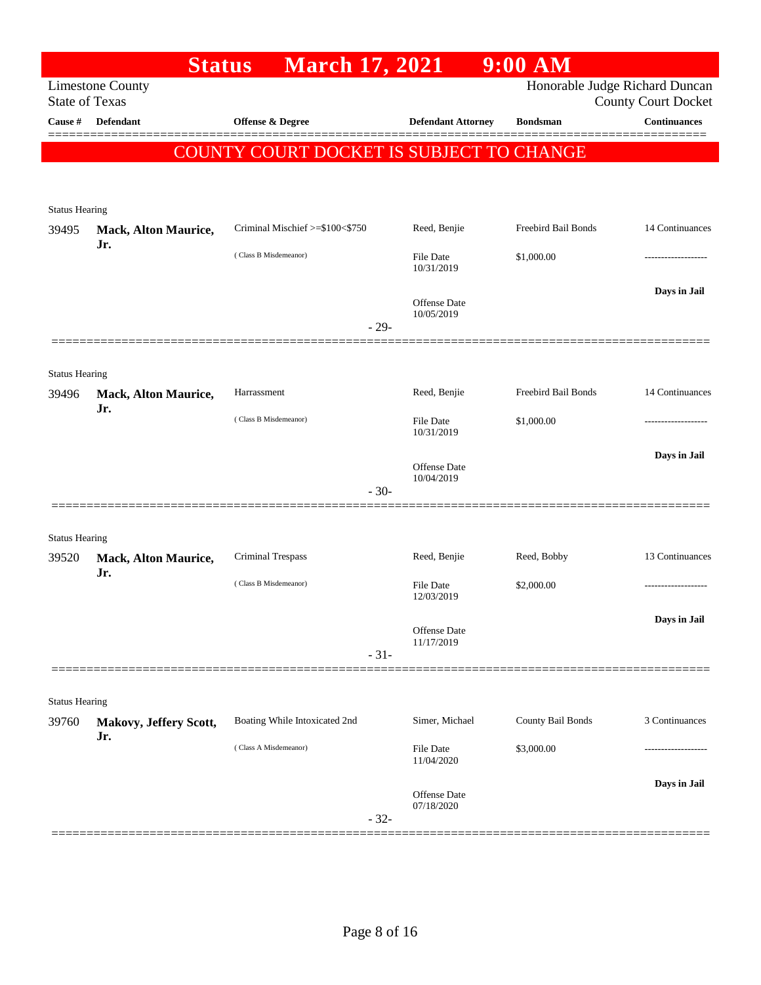|                       | <b>Status</b>                      | <b>March 17, 2021</b>                           |                                   | $9:00$ AM           |                                |
|-----------------------|------------------------------------|-------------------------------------------------|-----------------------------------|---------------------|--------------------------------|
|                       | <b>Limestone County</b>            |                                                 |                                   |                     | Honorable Judge Richard Duncan |
| <b>State of Texas</b> |                                    |                                                 |                                   |                     | <b>County Court Docket</b>     |
| Cause #               | <b>Defendant</b>                   | Offense & Degree                                | <b>Defendant Attorney</b>         | <b>Bondsman</b>     | <b>Continuances</b>            |
|                       |                                    | <b>COUNTY COURT DOCKET IS SUBJECT TO CHANGE</b> |                                   |                     |                                |
|                       |                                    |                                                 |                                   |                     |                                |
|                       |                                    |                                                 |                                   |                     |                                |
| <b>Status Hearing</b> |                                    | Criminal Mischief >=\$100<\$750                 | Reed, Benjie                      | Freebird Bail Bonds | 14 Continuances                |
| 39495                 | Mack, Alton Maurice,<br>Jr.        |                                                 |                                   |                     |                                |
|                       |                                    | (Class B Misdemeanor)                           | <b>File Date</b><br>10/31/2019    | \$1,000.00          |                                |
|                       |                                    |                                                 |                                   |                     | Days in Jail                   |
|                       |                                    |                                                 | <b>Offense Date</b><br>10/05/2019 |                     |                                |
|                       |                                    |                                                 | $-29-$                            |                     |                                |
|                       |                                    |                                                 |                                   |                     |                                |
| <b>Status Hearing</b> |                                    |                                                 |                                   |                     |                                |
| 39496                 | <b>Mack, Alton Maurice,</b>        | Harrassment                                     | Reed, Benjie                      | Freebird Bail Bonds | 14 Continuances                |
|                       | Jr.                                | (Class B Misdemeanor)                           | <b>File Date</b>                  | \$1,000.00          |                                |
|                       |                                    |                                                 | 10/31/2019                        |                     |                                |
|                       |                                    |                                                 | <b>Offense Date</b>               |                     | Days in Jail                   |
|                       |                                    |                                                 | 10/04/2019<br>$-30-$              |                     |                                |
|                       |                                    |                                                 |                                   |                     |                                |
|                       |                                    |                                                 |                                   |                     |                                |
| <b>Status Hearing</b> |                                    | <b>Criminal Trespass</b>                        | Reed, Benjie                      | Reed, Bobby         | 13 Continuances                |
| 39520                 | <b>Mack, Alton Maurice,</b><br>Jr. |                                                 |                                   |                     |                                |
|                       |                                    | (Class B Misdemeanor)                           | File Date<br>12/03/2019           | \$2,000.00          |                                |
|                       |                                    |                                                 |                                   |                     | Days in Jail                   |
|                       |                                    |                                                 | Offense Date<br>11/17/2019        |                     |                                |
|                       |                                    |                                                 | $-31-$                            |                     |                                |
|                       |                                    |                                                 |                                   |                     |                                |
| <b>Status Hearing</b> |                                    |                                                 |                                   |                     |                                |
| 39760                 | Makovy, Jeffery Scott,             | Boating While Intoxicated 2nd                   | Simer, Michael                    | County Bail Bonds   | 3 Continuances                 |
|                       | Jr.                                | (Class A Misdemeanor)                           | <b>File Date</b>                  | \$3,000.00          |                                |
|                       |                                    |                                                 | 11/04/2020                        |                     |                                |
|                       |                                    |                                                 | <b>Offense Date</b>               |                     | Days in Jail                   |
|                       |                                    |                                                 | 07/18/2020                        |                     |                                |
|                       |                                    |                                                 | $-32-$                            |                     |                                |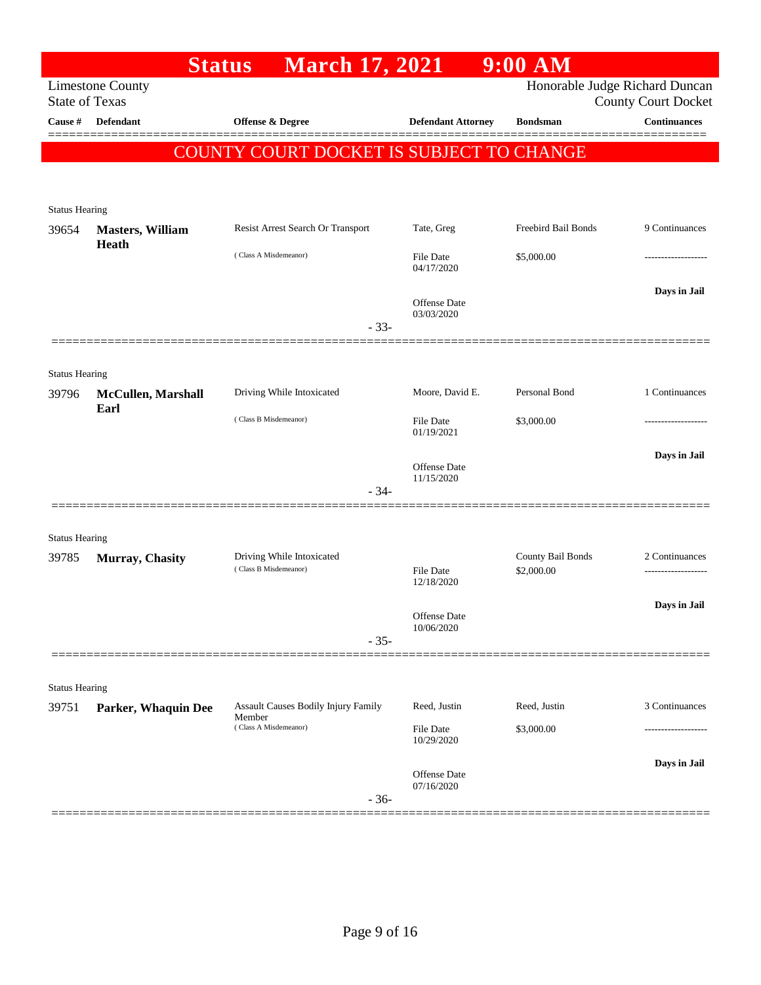|                                  |                            | <b>March 17, 2021</b><br><b>Status</b>        |                                | $9:00$ AM           |                                                   |
|----------------------------------|----------------------------|-----------------------------------------------|--------------------------------|---------------------|---------------------------------------------------|
|                                  | <b>Limestone County</b>    |                                               |                                |                     | Honorable Judge Richard Duncan                    |
| <b>State of Texas</b><br>Cause # | Defendant                  | Offense & Degree                              | <b>Defendant Attorney</b>      | <b>Bondsman</b>     | <b>County Court Docket</b><br><b>Continuances</b> |
|                                  |                            |                                               |                                |                     |                                                   |
|                                  |                            | COUNTY COURT DOCKET IS SUBJECT TO CHANGE      |                                |                     |                                                   |
|                                  |                            |                                               |                                |                     |                                                   |
| <b>Status Hearing</b>            |                            |                                               |                                |                     |                                                   |
| 39654                            | <b>Masters, William</b>    | Resist Arrest Search Or Transport             | Tate, Greg                     | Freebird Bail Bonds | 9 Continuances                                    |
|                                  | Heath                      | (Class A Misdemeanor)                         |                                |                     |                                                   |
|                                  |                            |                                               | File Date<br>04/17/2020        | \$5,000.00          |                                                   |
|                                  |                            |                                               |                                |                     | Days in Jail                                      |
|                                  |                            |                                               | Offense Date<br>03/03/2020     |                     |                                                   |
|                                  |                            | $-33-$                                        |                                |                     |                                                   |
|                                  |                            |                                               |                                |                     |                                                   |
| <b>Status Hearing</b>            |                            |                                               |                                |                     |                                                   |
| 39796                            | McCullen, Marshall<br>Earl | Driving While Intoxicated                     | Moore, David E.                | Personal Bond       | 1 Continuances                                    |
|                                  |                            | (Class B Misdemeanor)                         | File Date<br>01/19/2021        | \$3,000.00          |                                                   |
|                                  |                            |                                               |                                |                     |                                                   |
|                                  |                            |                                               | Offense Date<br>11/15/2020     |                     | Days in Jail                                      |
|                                  |                            | $-34-$                                        |                                |                     |                                                   |
|                                  |                            |                                               |                                |                     |                                                   |
| <b>Status Hearing</b>            |                            |                                               |                                |                     |                                                   |
| 39785                            | Murray, Chasity            | Driving While Intoxicated                     |                                | County Bail Bonds   | 2 Continuances                                    |
|                                  |                            | (Class B Misdemeanor)                         | File Date<br>12/18/2020        | \$2,000.00          |                                                   |
|                                  |                            |                                               |                                |                     | Days in Jail                                      |
|                                  |                            |                                               | Offense Date<br>10/06/2020     |                     |                                                   |
|                                  |                            | $-35-$                                        |                                |                     |                                                   |
|                                  |                            |                                               |                                |                     |                                                   |
| <b>Status Hearing</b>            |                            |                                               |                                |                     |                                                   |
| 39751                            | Parker, Whaquin Dee        | Assault Causes Bodily Injury Family<br>Member | Reed, Justin                   | Reed, Justin        | 3 Continuances                                    |
|                                  |                            | (Class A Misdemeanor)                         | <b>File Date</b><br>10/29/2020 | \$3,000.00          |                                                   |
|                                  |                            |                                               |                                |                     | Days in Jail                                      |
|                                  |                            |                                               | Offense Date<br>07/16/2020     |                     |                                                   |
|                                  |                            | $-36-$                                        |                                |                     |                                                   |
|                                  |                            |                                               |                                |                     |                                                   |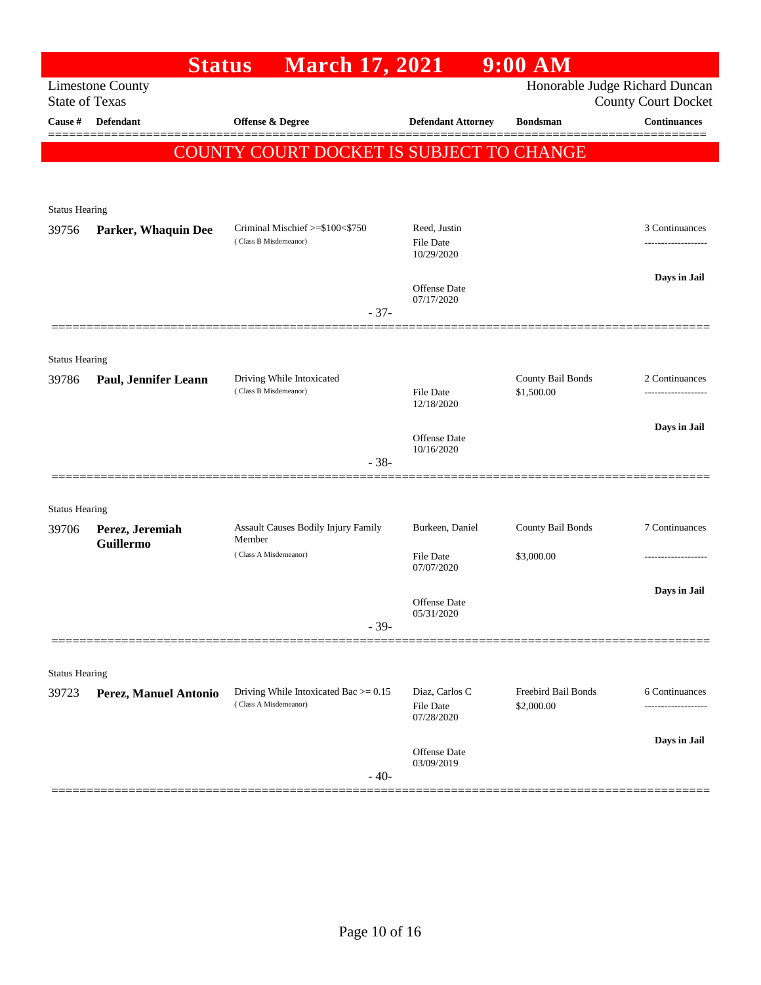|                                | <b>Status</b>               | <b>March 17, 2021</b>                              |                                   | $9:00$ AM                       |                                                   |
|--------------------------------|-----------------------------|----------------------------------------------------|-----------------------------------|---------------------------------|---------------------------------------------------|
| <b>State of Texas</b>          | <b>Limestone County</b>     |                                                    |                                   |                                 | Honorable Judge Richard Duncan                    |
| Cause #                        | <b>Defendant</b>            | Offense & Degree                                   | <b>Defendant Attorney</b>         | <b>Bondsman</b>                 | <b>County Court Docket</b><br><b>Continuances</b> |
|                                |                             |                                                    |                                   |                                 |                                                   |
|                                |                             | COUNTY COURT DOCKET IS SUBJECT TO CHANGE           |                                   |                                 |                                                   |
|                                |                             |                                                    |                                   |                                 |                                                   |
| <b>Status Hearing</b>          |                             |                                                    |                                   |                                 |                                                   |
| 39756                          | Parker, Whaquin Dee         | Criminal Mischief >=\$100<\$750                    | Reed, Justin                      |                                 | 3 Continuances                                    |
|                                |                             | (Class B Misdemeanor)                              | File Date<br>10/29/2020           |                                 |                                                   |
|                                |                             |                                                    |                                   |                                 | Days in Jail                                      |
|                                |                             |                                                    | <b>Offense</b> Date<br>07/17/2020 |                                 |                                                   |
|                                |                             | $-37-$                                             |                                   |                                 |                                                   |
|                                |                             |                                                    |                                   |                                 |                                                   |
| <b>Status Hearing</b>          |                             |                                                    |                                   |                                 |                                                   |
| 39786                          | <b>Paul, Jennifer Leann</b> | Driving While Intoxicated<br>(Class B Misdemeanor) | File Date                         | County Bail Bonds<br>\$1,500.00 | 2 Continuances                                    |
|                                |                             |                                                    | 12/18/2020                        |                                 |                                                   |
|                                |                             |                                                    | Offense Date                      |                                 | Days in Jail                                      |
|                                |                             | $-38-$                                             | 10/16/2020                        |                                 |                                                   |
|                                |                             |                                                    |                                   |                                 |                                                   |
| <b>Status Hearing</b>          |                             |                                                    |                                   |                                 |                                                   |
| 39706                          | Perez, Jeremiah             | Assault Causes Bodily Injury Family                | Burkeen, Daniel                   | County Bail Bonds               | 7 Continuances                                    |
|                                | Guillermo                   | Member<br>(Class A Misdemeanor)                    | File Date                         | \$3,000.00                      |                                                   |
|                                |                             |                                                    | 07/07/2020                        |                                 |                                                   |
|                                |                             |                                                    | <b>Offense</b> Date               |                                 | Days in Jail                                      |
|                                |                             | $-39-$                                             | 05/31/2020                        |                                 |                                                   |
|                                |                             |                                                    |                                   |                                 |                                                   |
|                                |                             |                                                    |                                   |                                 |                                                   |
| <b>Status Hearing</b><br>39723 | Perez, Manuel Antonio       | Driving While Intoxicated Bac $>= 0.15$            | Diaz, Carlos C                    | Freebird Bail Bonds             | 6 Continuances                                    |
|                                |                             | (Class A Misdemeanor)                              | File Date<br>07/28/2020           | \$2,000.00                      |                                                   |
|                                |                             |                                                    |                                   |                                 |                                                   |
|                                |                             |                                                    | Offense Date                      |                                 | Days in Jail                                      |
|                                |                             | $-40-$                                             | 03/09/2019                        |                                 |                                                   |
|                                |                             |                                                    |                                   |                                 |                                                   |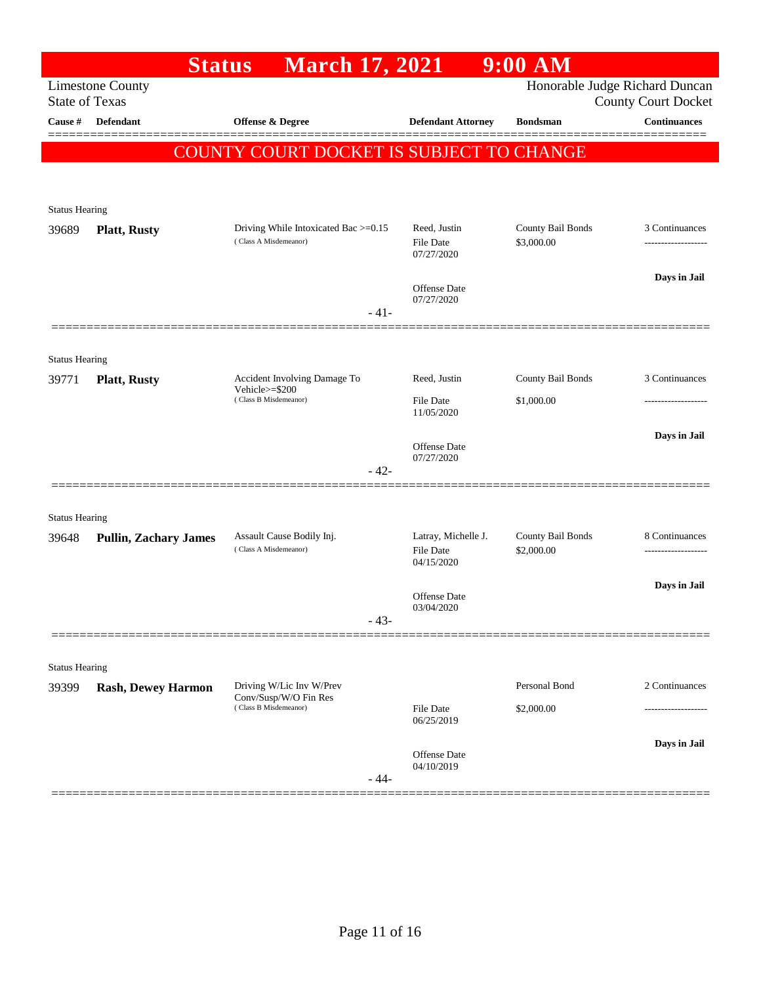|                       | <b>Status</b>                | <b>March 17, 2021</b>                                                   |                                   | $9:00$ AM         |                                                              |
|-----------------------|------------------------------|-------------------------------------------------------------------------|-----------------------------------|-------------------|--------------------------------------------------------------|
| <b>State of Texas</b> | <b>Limestone County</b>      |                                                                         |                                   |                   | Honorable Judge Richard Duncan<br><b>County Court Docket</b> |
| Cause #               | Defendant                    | Offense & Degree                                                        | <b>Defendant Attorney</b>         | <b>Bondsman</b>   | <b>Continuances</b>                                          |
|                       |                              | COUNTY COURT DOCKET IS SUBJECT TO CHANGE                                |                                   |                   |                                                              |
|                       |                              |                                                                         |                                   |                   |                                                              |
| <b>Status Hearing</b> |                              |                                                                         |                                   |                   |                                                              |
| 39689                 | <b>Platt, Rusty</b>          | Driving While Intoxicated Bac >=0.15                                    | Reed, Justin                      | County Bail Bonds | 3 Continuances                                               |
|                       |                              | (Class A Misdemeanor)                                                   | <b>File Date</b><br>07/27/2020    | \$3,000.00        |                                                              |
|                       |                              |                                                                         | <b>Offense Date</b>               |                   | Days in Jail                                                 |
|                       |                              | $-41-$                                                                  | 07/27/2020                        |                   |                                                              |
|                       |                              |                                                                         |                                   |                   |                                                              |
| <b>Status Hearing</b> |                              |                                                                         |                                   |                   |                                                              |
| 39771                 | <b>Platt, Rusty</b>          | Accident Involving Damage To<br>Vehicle>=\$200<br>(Class B Misdemeanor) | Reed, Justin                      | County Bail Bonds | 3 Continuances                                               |
|                       |                              |                                                                         | <b>File Date</b><br>11/05/2020    | \$1,000.00        |                                                              |
|                       |                              |                                                                         |                                   |                   | Days in Jail                                                 |
|                       |                              |                                                                         | <b>Offense Date</b><br>07/27/2020 |                   |                                                              |
|                       |                              | $-42-$                                                                  |                                   |                   |                                                              |
| <b>Status Hearing</b> |                              |                                                                         |                                   |                   |                                                              |
| 39648                 | <b>Pullin, Zachary James</b> | Assault Cause Bodily Inj.                                               | Latray, Michelle J.               | County Bail Bonds | 8 Continuances                                               |
|                       |                              | (Class A Misdemeanor)                                                   | <b>File Date</b><br>04/15/2020    | \$2,000.00        | -------------------                                          |
|                       |                              |                                                                         |                                   |                   | Days in Jail                                                 |
|                       |                              | $-43-$                                                                  | Offense Date<br>03/04/2020        |                   |                                                              |
|                       |                              |                                                                         |                                   |                   |                                                              |
| <b>Status Hearing</b> |                              |                                                                         |                                   |                   |                                                              |
| 39399                 | <b>Rash, Dewey Harmon</b>    | Driving W/Lic Inv W/Prev                                                |                                   | Personal Bond     | 2 Continuances                                               |
|                       |                              | Conv/Susp/W/O Fin Res<br>(Class B Misdemeanor)                          | <b>File Date</b><br>06/25/2019    | \$2,000.00        |                                                              |
|                       |                              |                                                                         |                                   |                   | Days in Jail                                                 |
|                       |                              |                                                                         | <b>Offense Date</b><br>04/10/2019 |                   |                                                              |
|                       |                              | $-44-$                                                                  |                                   |                   |                                                              |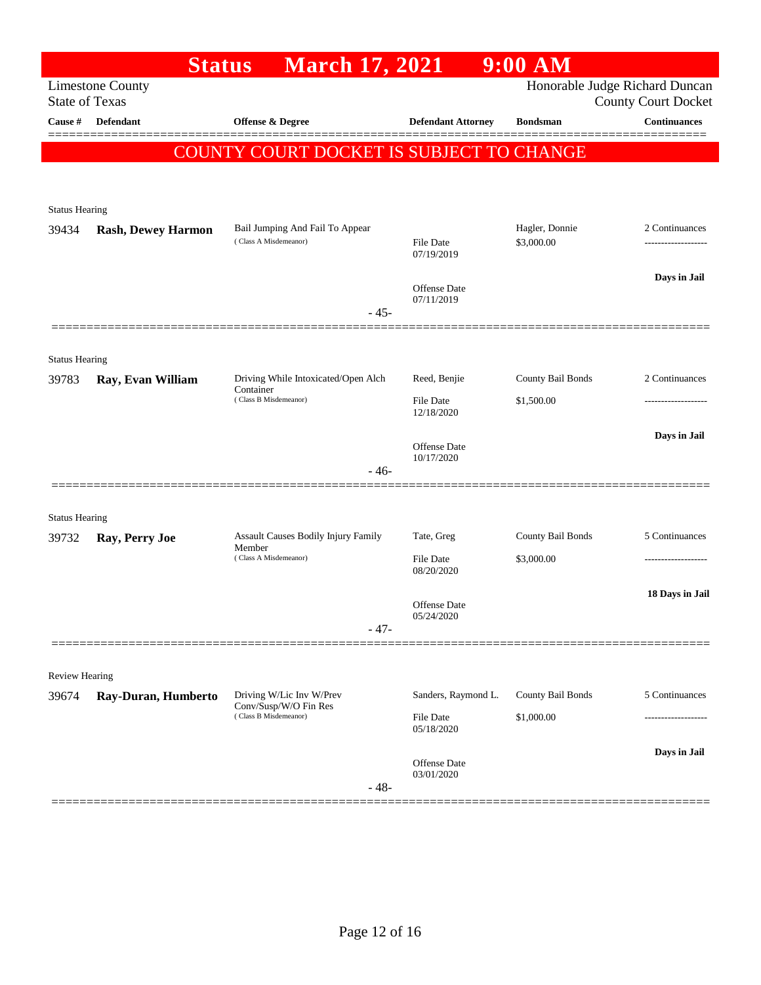|                       | <b>Status</b>             | <b>March 17, 2021</b>                                |                                   | $9:00$ AM         |                                                              |
|-----------------------|---------------------------|------------------------------------------------------|-----------------------------------|-------------------|--------------------------------------------------------------|
| <b>State of Texas</b> | <b>Limestone County</b>   |                                                      |                                   |                   | Honorable Judge Richard Duncan<br><b>County Court Docket</b> |
| Cause #               | <b>Defendant</b>          | <b>Offense &amp; Degree</b>                          | <b>Defendant Attorney</b>         | <b>Bondsman</b>   | <b>Continuances</b>                                          |
|                       |                           | COUNTY COURT DOCKET IS SUBJECT TO CHANGE             |                                   |                   |                                                              |
|                       |                           |                                                      |                                   |                   |                                                              |
| <b>Status Hearing</b> |                           |                                                      |                                   |                   |                                                              |
| 39434                 | <b>Rash, Dewey Harmon</b> | Bail Jumping And Fail To Appear                      |                                   | Hagler, Donnie    | 2 Continuances                                               |
|                       |                           | (Class A Misdemeanor)                                | File Date<br>07/19/2019           | \$3,000.00        |                                                              |
|                       |                           |                                                      | Offense Date                      |                   | Days in Jail                                                 |
|                       |                           | $-45-$                                               | 07/11/2019                        |                   |                                                              |
|                       |                           |                                                      |                                   |                   |                                                              |
| <b>Status Hearing</b> |                           |                                                      |                                   |                   |                                                              |
| 39783                 | Ray, Evan William         | Driving While Intoxicated/Open Alch<br>Container     | Reed, Benjie                      | County Bail Bonds | 2 Continuances                                               |
|                       |                           | (Class B Misdemeanor)                                | File Date<br>12/18/2020           | \$1,500.00        |                                                              |
|                       |                           |                                                      | Offense Date                      |                   | Days in Jail                                                 |
|                       |                           | $-46-$                                               | 10/17/2020                        |                   |                                                              |
|                       |                           |                                                      |                                   |                   |                                                              |
| <b>Status Hearing</b> |                           |                                                      |                                   |                   |                                                              |
| 39732                 | Ray, Perry Joe            | <b>Assault Causes Bodily Injury Family</b><br>Member | Tate, Greg                        | County Bail Bonds | 5 Continuances                                               |
|                       |                           | (Class A Misdemeanor)                                | <b>File Date</b><br>08/20/2020    | \$3,000.00        | .                                                            |
|                       |                           |                                                      |                                   |                   | 18 Days in Jail                                              |
|                       |                           |                                                      | <b>Offense</b> Date<br>05/24/2020 |                   |                                                              |
|                       |                           | $-47-$                                               |                                   |                   |                                                              |
| <b>Review Hearing</b> |                           |                                                      |                                   |                   |                                                              |
| 39674                 | Ray-Duran, Humberto       | Driving W/Lic Inv W/Prev                             | Sanders, Raymond L.               | County Bail Bonds | 5 Continuances                                               |
|                       |                           | Conv/Susp/W/O Fin Res<br>(Class B Misdemeanor)       | File Date<br>05/18/2020           | \$1,000.00        | ----------------                                             |
|                       |                           |                                                      |                                   |                   | Days in Jail                                                 |
|                       |                           |                                                      | <b>Offense</b> Date<br>03/01/2020 |                   |                                                              |
|                       |                           | $-48-$                                               |                                   |                   |                                                              |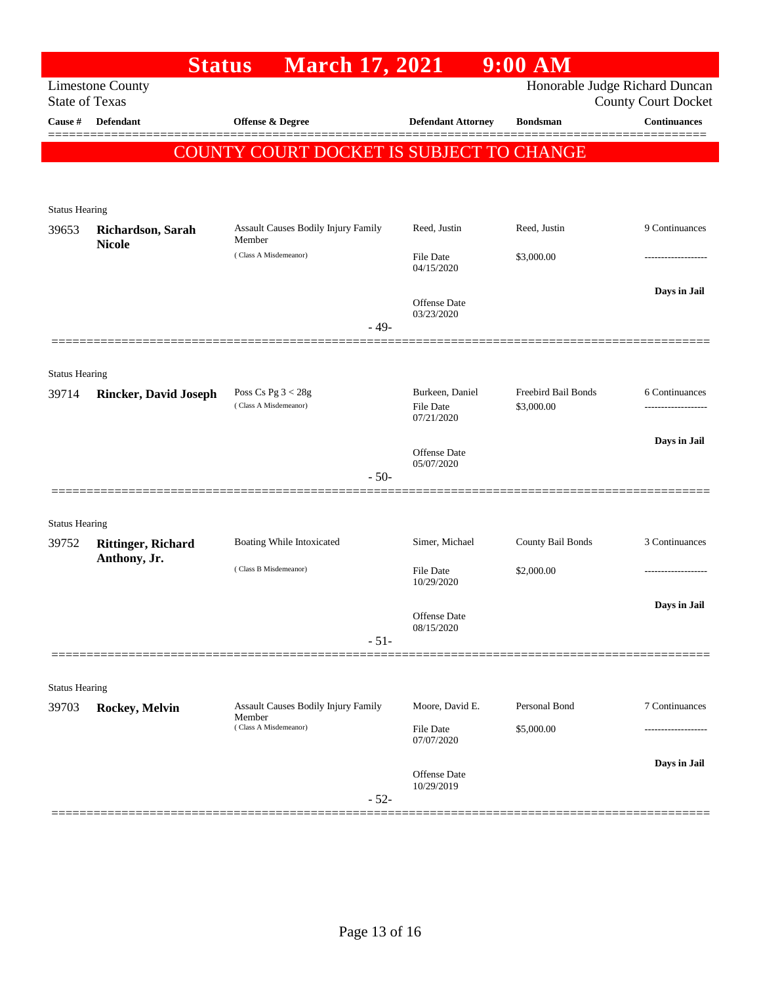|                                | <b>Status</b>                             | <b>March 17, 2021</b>                         |                              | 9:00 AM                           |                                |
|--------------------------------|-------------------------------------------|-----------------------------------------------|------------------------------|-----------------------------------|--------------------------------|
|                                | <b>Limestone County</b>                   |                                               |                              |                                   | Honorable Judge Richard Duncan |
| <b>State of Texas</b>          |                                           |                                               |                              |                                   | <b>County Court Docket</b>     |
| Cause #                        | Defendant                                 | Offense & Degree                              | <b>Defendant Attorney</b>    | <b>Bondsman</b>                   | <b>Continuances</b>            |
|                                |                                           | COUNTY COURT DOCKET IS SUBJECT TO CHANGE      |                              |                                   |                                |
|                                |                                           |                                               |                              |                                   |                                |
|                                |                                           |                                               |                              |                                   |                                |
| <b>Status Hearing</b><br>39653 | Richardson, Sarah                         | <b>Assault Causes Bodily Injury Family</b>    | Reed, Justin                 | Reed, Justin                      | 9 Continuances                 |
|                                | <b>Nicole</b>                             | Member                                        |                              |                                   |                                |
|                                |                                           | (Class A Misdemeanor)                         | File Date<br>04/15/2020      | \$3,000.00                        |                                |
|                                |                                           |                                               |                              |                                   | Days in Jail                   |
|                                |                                           |                                               | Offense Date<br>03/23/2020   |                                   |                                |
|                                |                                           | $-49-$                                        |                              |                                   |                                |
|                                |                                           |                                               |                              |                                   |                                |
| <b>Status Hearing</b>          |                                           |                                               |                              |                                   |                                |
| 39714                          | <b>Rincker, David Joseph</b>              | Poss Cs Pg $3 < 28g$<br>(Class A Misdemeanor) | Burkeen, Daniel<br>File Date | Freebird Bail Bonds<br>\$3,000.00 | 6 Continuances                 |
|                                |                                           |                                               | 07/21/2020                   |                                   |                                |
|                                |                                           |                                               | Offense Date                 |                                   | Days in Jail                   |
|                                |                                           |                                               | 05/07/2020                   |                                   |                                |
|                                |                                           | $-50-$                                        |                              |                                   |                                |
|                                |                                           |                                               |                              |                                   |                                |
| <b>Status Hearing</b><br>39752 |                                           | Boating While Intoxicated                     | Simer, Michael               | County Bail Bonds                 | 3 Continuances                 |
|                                | <b>Rittinger, Richard</b><br>Anthony, Jr. |                                               |                              |                                   |                                |
|                                |                                           | (Class B Misdemeanor)                         | File Date<br>10/29/2020      | \$2,000.00                        |                                |
|                                |                                           |                                               |                              |                                   | Days in Jail                   |
|                                |                                           |                                               | Offense Date<br>08/15/2020   |                                   |                                |
|                                |                                           | $-51-$                                        |                              |                                   |                                |
|                                |                                           |                                               |                              |                                   |                                |
| <b>Status Hearing</b>          |                                           |                                               |                              |                                   |                                |
| 39703                          | Rockey, Melvin                            | Assault Causes Bodily Injury Family<br>Member | Moore, David E.              | Personal Bond                     | 7 Continuances                 |
|                                |                                           | (Class A Misdemeanor)                         | File Date<br>07/07/2020      | \$5,000.00                        |                                |
|                                |                                           |                                               |                              |                                   | Days in Jail                   |
|                                |                                           |                                               | Offense Date<br>10/29/2019   |                                   |                                |
|                                |                                           | $-52-$                                        |                              |                                   |                                |
|                                |                                           |                                               |                              |                                   |                                |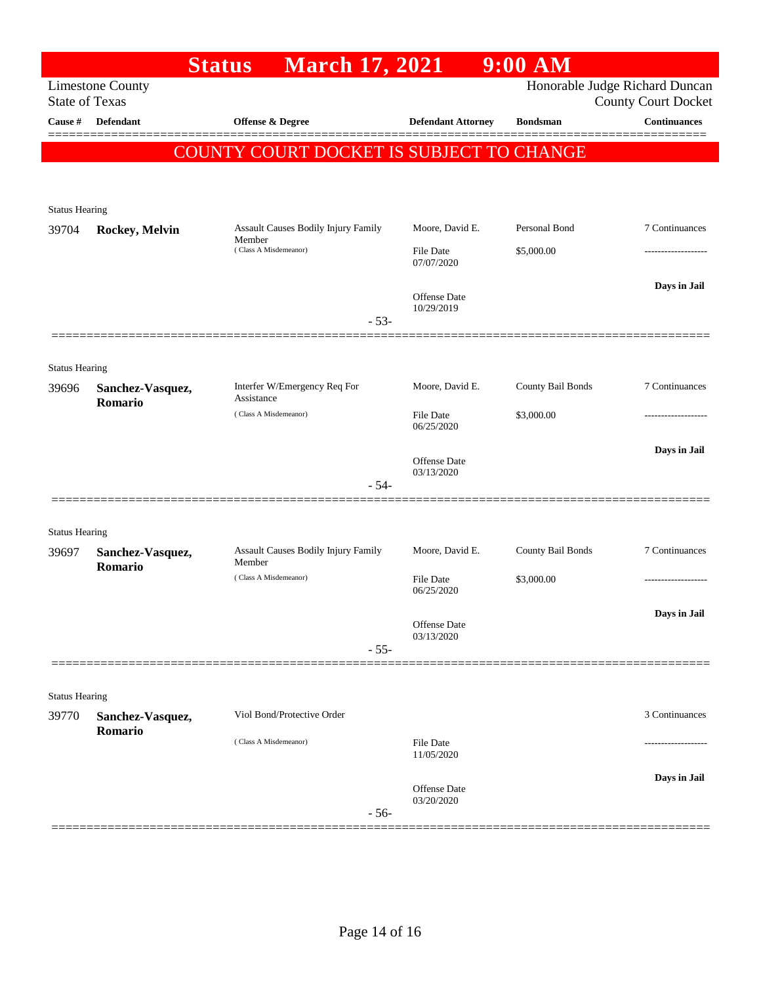|                                |                             | <b>Status</b>         | <b>March 17, 2021</b>                                                  |                            | 9:00 AM                                  |                                                              |
|--------------------------------|-----------------------------|-----------------------|------------------------------------------------------------------------|----------------------------|------------------------------------------|--------------------------------------------------------------|
| <b>State of Texas</b>          | <b>Limestone County</b>     |                       |                                                                        |                            |                                          | Honorable Judge Richard Duncan<br><b>County Court Docket</b> |
| Cause #                        | Defendant                   | Offense & Degree      |                                                                        | <b>Defendant Attorney</b>  | <b>Bondsman</b>                          | <b>Continuances</b>                                          |
|                                |                             |                       |                                                                        |                            | COUNTY COURT DOCKET IS SUBJECT TO CHANGE |                                                              |
|                                |                             |                       |                                                                        |                            |                                          |                                                              |
| <b>Status Hearing</b>          |                             |                       |                                                                        |                            |                                          |                                                              |
| 39704                          | Rockey, Melvin              |                       | Assault Causes Bodily Injury Family<br>Member<br>(Class A Misdemeanor) | Moore, David E.            | Personal Bond                            | 7 Continuances                                               |
|                                |                             |                       |                                                                        | File Date<br>07/07/2020    | \$5,000.00                               |                                                              |
|                                |                             |                       |                                                                        | Offense Date               |                                          | Days in Jail                                                 |
|                                |                             |                       | $-53-$                                                                 | 10/29/2019                 |                                          |                                                              |
|                                |                             |                       |                                                                        |                            |                                          |                                                              |
| <b>Status Hearing</b>          |                             |                       |                                                                        |                            |                                          |                                                              |
| 39696                          | Sanchez-Vasquez,<br>Romario |                       | Interfer W/Emergency Req For                                           | Moore, David E.            | County Bail Bonds                        | 7 Continuances                                               |
|                                |                             |                       | Assistance<br>(Class A Misdemeanor)                                    | File Date<br>06/25/2020    | \$3,000.00                               |                                                              |
|                                |                             |                       |                                                                        |                            |                                          | Days in Jail                                                 |
|                                |                             |                       |                                                                        | Offense Date<br>03/13/2020 |                                          |                                                              |
|                                |                             |                       | $-54-$                                                                 |                            |                                          |                                                              |
|                                |                             |                       |                                                                        |                            |                                          |                                                              |
| <b>Status Hearing</b><br>39697 | Sanchez-Vasquez,            |                       | Assault Causes Bodily Injury Family                                    | Moore, David E.            | County Bail Bonds                        | 7 Continuances                                               |
|                                | Romario                     | Member                |                                                                        |                            |                                          |                                                              |
|                                |                             |                       | (Class A Misdemeanor)                                                  | File Date<br>06/25/2020    | \$3,000.00                               |                                                              |
|                                |                             |                       |                                                                        | Offense Date               |                                          | Days in Jail                                                 |
|                                |                             |                       | $-55-$                                                                 | 03/13/2020                 |                                          |                                                              |
|                                |                             |                       |                                                                        |                            |                                          |                                                              |
| <b>Status Hearing</b>          |                             |                       |                                                                        |                            |                                          |                                                              |
| 39770                          | Sanchez-Vasquez,<br>Romario |                       | Viol Bond/Protective Order                                             |                            |                                          | 3 Continuances                                               |
|                                |                             | (Class A Misdemeanor) |                                                                        | File Date                  |                                          |                                                              |
|                                |                             |                       |                                                                        | 11/05/2020                 |                                          |                                                              |
|                                |                             |                       |                                                                        | Offense Date               |                                          | Days in Jail                                                 |
|                                |                             |                       | $-56-$                                                                 | 03/20/2020                 |                                          |                                                              |
|                                |                             |                       |                                                                        |                            |                                          |                                                              |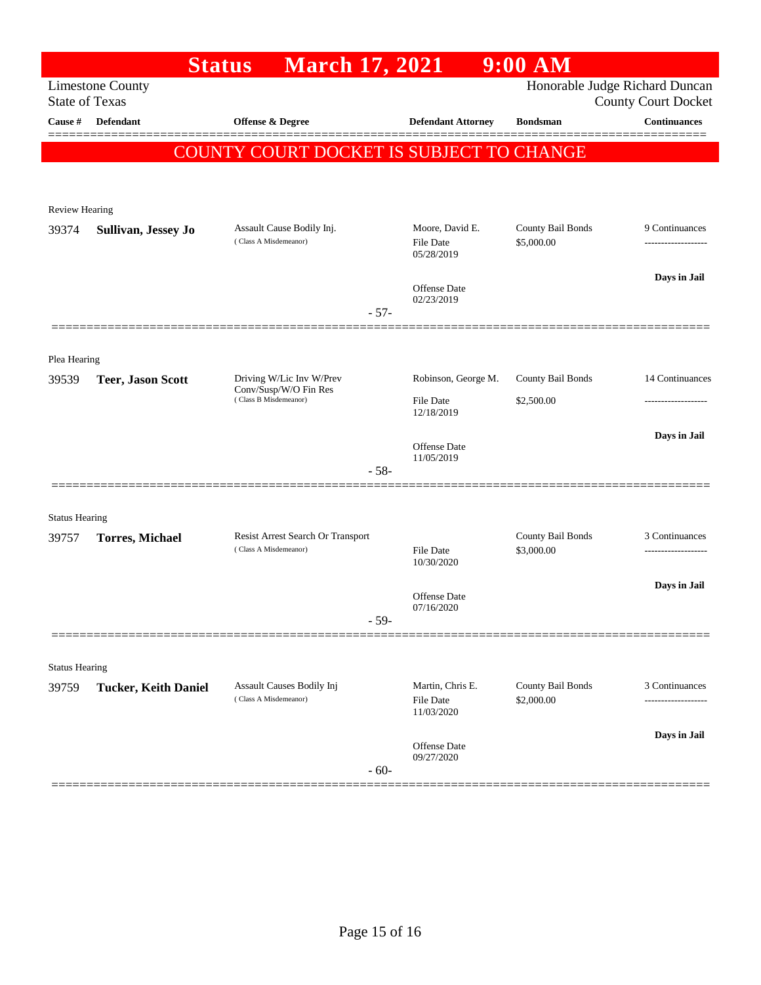|                       |                             | <b>Status</b><br><b>March 17, 2021</b>             |        |                                             | $9:00$ AM                       |                                                              |
|-----------------------|-----------------------------|----------------------------------------------------|--------|---------------------------------------------|---------------------------------|--------------------------------------------------------------|
| <b>State of Texas</b> | <b>Limestone County</b>     |                                                    |        |                                             |                                 | Honorable Judge Richard Duncan<br><b>County Court Docket</b> |
| Cause #               | <b>Defendant</b>            | Offense & Degree                                   |        | <b>Defendant Attorney</b>                   | <b>Bondsman</b>                 | <b>Continuances</b>                                          |
|                       |                             |                                                    |        |                                             |                                 |                                                              |
|                       |                             | COUNTY COURT DOCKET IS SUBJECT TO CHANGE           |        |                                             |                                 |                                                              |
|                       |                             |                                                    |        |                                             |                                 |                                                              |
| Review Hearing        |                             |                                                    |        |                                             |                                 |                                                              |
| 39374                 | Sullivan, Jessey Jo         | Assault Cause Bodily Inj.<br>(Class A Misdemeanor) |        | Moore, David E.<br>File Date<br>05/28/2019  | County Bail Bonds<br>\$5,000.00 | 9 Continuances                                               |
|                       |                             |                                                    |        | <b>Offense Date</b><br>02/23/2019           |                                 | Days in Jail                                                 |
|                       |                             |                                                    | $-57-$ |                                             |                                 |                                                              |
|                       |                             |                                                    |        |                                             |                                 |                                                              |
| Plea Hearing<br>39539 | <b>Teer, Jason Scott</b>    | Driving W/Lic Inv W/Prev                           |        | Robinson, George M.                         | County Bail Bonds               | 14 Continuances                                              |
|                       |                             | Conv/Susp/W/O Fin Res<br>(Class B Misdemeanor)     |        | File Date<br>12/18/2019                     | \$2,500.00                      |                                                              |
|                       |                             |                                                    |        |                                             |                                 | Days in Jail                                                 |
|                       |                             |                                                    |        | Offense Date<br>11/05/2019                  |                                 |                                                              |
|                       |                             |                                                    | $-58-$ |                                             |                                 |                                                              |
| <b>Status Hearing</b> |                             |                                                    |        |                                             |                                 |                                                              |
| 39757                 | <b>Torres, Michael</b>      | Resist Arrest Search Or Transport                  |        |                                             | County Bail Bonds               | 3 Continuances                                               |
|                       |                             | (Class A Misdemeanor)                              |        | File Date<br>10/30/2020                     | \$3,000.00                      | -------------------                                          |
|                       |                             |                                                    |        | Offense Date                                |                                 | Days in Jail                                                 |
|                       |                             |                                                    | $-59-$ | 07/16/2020                                  |                                 |                                                              |
|                       |                             |                                                    |        |                                             |                                 |                                                              |
| <b>Status Hearing</b> |                             |                                                    |        |                                             |                                 |                                                              |
| 39759                 | <b>Tucker, Keith Daniel</b> | Assault Causes Bodily Inj<br>(Class A Misdemeanor) |        | Martin, Chris E.<br>File Date<br>11/03/2020 | County Bail Bonds<br>\$2,000.00 | 3 Continuances<br>-----------                                |
|                       |                             |                                                    |        |                                             |                                 | Days in Jail                                                 |
|                       |                             |                                                    | $-60-$ | Offense Date<br>09/27/2020                  |                                 |                                                              |